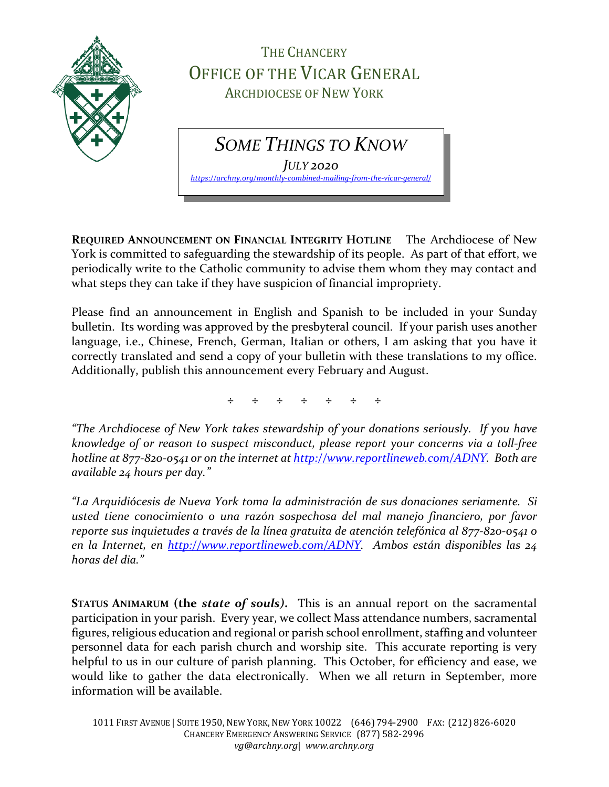

THE CHANCERY OFFICE OF THE VICAR GENERAL ARCHDIOCESE OF NEW YORK

*SOME THINGS TO KNOW*

*JULY 2020 <https://archny.org/monthly-combined-mailing-from-the-vicar-general/>*

**REQUIRED ANNOUNCEMENT ON FINANCIAL INTEGRITY HOTLINE** The Archdiocese of New York is committed to safeguarding the stewardship of its people. As part of that effort, we periodically write to the Catholic community to advise them whom they may contact and what steps they can take if they have suspicion of financial impropriety.

Please find an announcement in English and Spanish to be included in your Sunday bulletin. Its wording was approved by the presbyteral council. If your parish uses another language, i.e., Chinese, French, German, Italian or others, I am asking that you have it correctly translated and send a copy of your bulletin with these translations to my office. Additionally, publish this announcement every February and August.

÷ ÷ ÷ ÷ ÷ ÷ ÷

*"The Archdiocese of New York takes stewardship of your donations seriously. If you have knowledge of or reason to suspect misconduct, please report your concerns via a toll-free hotline at 877-820-0541 or on the internet at [http://www.reportlineweb.com/ADNY.](http://www.reportlineweb.com/ADNY) Both are available 24 hours per day."*

*"La Arquidiócesis de Nueva York toma la administración de sus donaciones seriamente. Si usted tiene conocimiento o una razón sospechosa del mal manejo financiero, por favor reporte sus inquietudes a través de la línea gratuita de atención telefónica al 877-820-0541 o en la Internet, en [http://www.reportlineweb.com/ADNY.](http://www.reportlineweb.com/ADNY) Ambos están disponibles las 24 horas del dia."*

**STATUS ANIMARUM (the** *state of souls)***.** This is an annual report on the sacramental participation in your parish. Every year, we collect Mass attendance numbers, sacramental figures, religious education and regional or parish school enrollment, staffing and volunteer personnel data for each parish church and worship site. This accurate reporting is very helpful to us in our culture of parish planning. This October, for efficiency and ease, we would like to gather the data electronically. When we all return in September, more information will be available.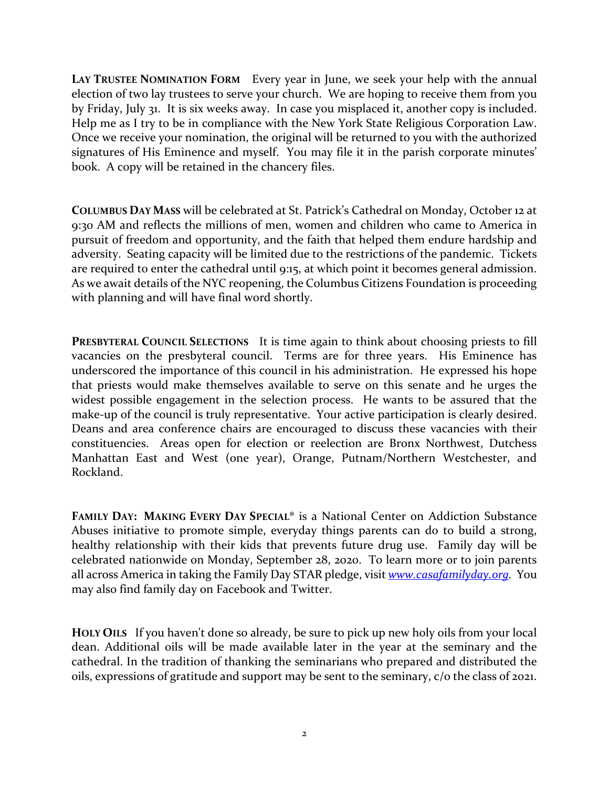**LAY TRUSTEE NOMINATION FORM** Every year in June, we seek your help with the annual election of two lay trustees to serve your church. We are hoping to receive them from you by Friday, July 31. It is six weeks away. In case you misplaced it, another copy is included. Help me as I try to be in compliance with the New York State Religious Corporation Law. Once we receive your nomination, the original will be returned to you with the authorized signatures of His Eminence and myself. You may file it in the parish corporate minutes' book. A copy will be retained in the chancery files.

**COLUMBUS DAY MASS** will be celebrated at St. Patrick's Cathedral on Monday, October 12 at 9:30 AM and reflects the millions of men, women and children who came to America in pursuit of freedom and opportunity, and the faith that helped them endure hardship and adversity. Seating capacity will be limited due to the restrictions of the pandemic. Tickets are required to enter the cathedral until 9:15, at which point it becomes general admission. As we await details of the NYC reopening, the Columbus Citizens Foundation is proceeding with planning and will have final word shortly.

**PRESBYTERAL COUNCIL SELECTIONS** It is time again to think about choosing priests to fill vacancies on the presbyteral council. Terms are for three years. His Eminence has underscored the importance of this council in his administration. He expressed his hope that priests would make themselves available to serve on this senate and he urges the widest possible engagement in the selection process. He wants to be assured that the make-up of the council is truly representative. Your active participation is clearly desired. Deans and area conference chairs are encouraged to discuss these vacancies with their constituencies. Areas open for election or reelection are Bronx Northwest, Dutchess Manhattan East and West (one year), Orange, Putnam/Northern Westchester, and Rockland.

**FAMILY DAY: MAKING EVERY DAY SPECIAL**® is a National Center on Addiction Substance Abuses initiative to promote simple, everyday things parents can do to build a strong, healthy relationship with their kids that prevents future drug use. Family day will be celebrated nationwide on Monday, September 28, 2020. To learn more or to join parents all across America in taking the Family Day STAR pledge, visit *[www.casafamilyday.org.](http://www.casafamilyday.org/)* You may also find family day on Facebook and Twitter.

**HOLY OILS** If you haven't done so already, be sure to pick up new holy oils from your local dean. Additional oils will be made available later in the year at the seminary and the cathedral. In the tradition of thanking the seminarians who prepared and distributed the oils, expressions of gratitude and support may be sent to the seminary, c/o the class of 2021.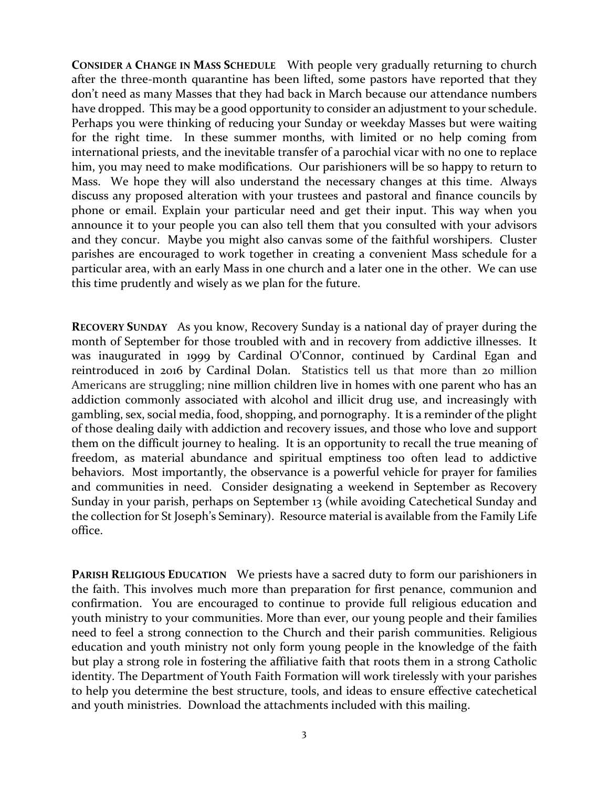**CONSIDER A CHANGE IN MASS SCHEDULE** With people very gradually returning to church after the three-month quarantine has been lifted, some pastors have reported that they don't need as many Masses that they had back in March because our attendance numbers have dropped. This may be a good opportunity to consider an adjustment to your schedule. Perhaps you were thinking of reducing your Sunday or weekday Masses but were waiting for the right time. In these summer months, with limited or no help coming from international priests, and the inevitable transfer of a parochial vicar with no one to replace him, you may need to make modifications. Our parishioners will be so happy to return to Mass. We hope they will also understand the necessary changes at this time. Always discuss any proposed alteration with your trustees and pastoral and finance councils by phone or email. Explain your particular need and get their input. This way when you announce it to your people you can also tell them that you consulted with your advisors and they concur. Maybe you might also canvas some of the faithful worshipers. Cluster parishes are encouraged to work together in creating a convenient Mass schedule for a particular area, with an early Mass in one church and a later one in the other. We can use this time prudently and wisely as we plan for the future.

**RECOVERY SUNDAY** As you know, Recovery Sunday is a national day of prayer during the month of September for those troubled with and in recovery from addictive illnesses. It was inaugurated in 1999 by Cardinal O'Connor, continued by Cardinal Egan and reintroduced in 2016 by Cardinal Dolan. Statistics tell us that more than 20 million Americans are struggling; nine million children live in homes with one parent who has an addiction commonly associated with alcohol and illicit drug use, and increasingly with gambling, sex, social media, food, shopping, and pornography. It is a reminder of the plight of those dealing daily with addiction and recovery issues, and those who love and support them on the difficult journey to healing. It is an opportunity to recall the true meaning of freedom, as material abundance and spiritual emptiness too often lead to addictive behaviors. Most importantly, the observance is a powerful vehicle for prayer for families and communities in need. Consider designating a weekend in September as Recovery Sunday in your parish, perhaps on September 13 (while avoiding Catechetical Sunday and the collection for St Joseph's Seminary). Resource material is available from the Family Life office.

**PARISH RELIGIOUS EDUCATION** We priests have a sacred duty to form our parishioners in the faith. This involves much more than preparation for first penance, communion and confirmation. You are encouraged to continue to provide full religious education and youth ministry to your communities. More than ever, our young people and their families need to feel a strong connection to the Church and their parish communities. Religious education and youth ministry not only form young people in the knowledge of the faith but play a strong role in fostering the affiliative faith that roots them in a strong Catholic identity. The Department of Youth Faith Formation will work tirelessly with your parishes to help you determine the best structure, tools, and ideas to ensure effective catechetical and youth ministries. Download the attachments included with this mailing.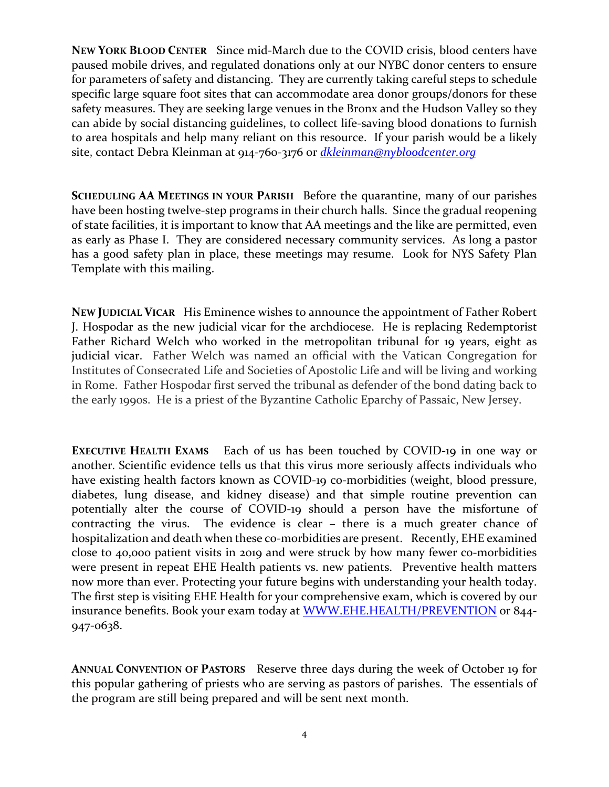**NEW YORK BLOOD CENTER** Since mid-March due to the COVID crisis, blood centers have paused mobile drives, and regulated donations only at our NYBC donor centers to ensure for parameters of safety and distancing. They are currently taking careful steps to schedule specific large square foot sites that can accommodate area donor groups/donors for these safety measures. They are seeking large venues in the Bronx and the Hudson Valley so they can abide by social distancing guidelines, to collect life-saving blood donations to furnish to area hospitals and help many reliant on this resource. If your parish would be a likely site, contact Debra Kleinman at 914-760-3176 or *[dkleinman@nybloodcenter.org](mailto:dkleinman@nybloodcenter.org)*

**SCHEDULING AA MEETINGS IN YOUR PARISH** Before the quarantine, many of our parishes have been hosting twelve-step programs in their church halls. Since the gradual reopening of state facilities, it is important to know that AA meetings and the like are permitted, even as early as Phase I. They are considered necessary community services. As long a pastor has a good safety plan in place, these meetings may resume. Look for NYS Safety Plan Template with this mailing.

**NEW JUDICIAL VICAR** His Eminence wishes to announce the appointment of Father Robert J. Hospodar as the new judicial vicar for the archdiocese. He is replacing Redemptorist Father Richard Welch who worked in the metropolitan tribunal for 19 years, eight as judicial vicar. Father Welch was named an official with the Vatican Congregation for Institutes of Consecrated Life and Societies of Apostolic Life and will be living and working in Rome. Father Hospodar first served the tribunal as defender of the bond dating back to the early 1990s. He is a priest of the Byzantine Catholic Eparchy of Passaic, New Jersey.

**EXECUTIVE HEALTH EXAMS** Each of us has been touched by COVID-19 in one way or another. Scientific evidence tells us that this virus more seriously affects individuals who have existing health factors known as COVID-19 co-morbidities (weight, blood pressure, diabetes, lung disease, and kidney disease) and that simple routine prevention can potentially alter the course of COVID-19 should a person have the misfortune of contracting the virus. The evidence is clear – there is a much greater chance of hospitalization and death when these co-morbidities are present. Recently, EHE examined close to 40,000 patient visits in 2019 and were struck by how many fewer co-morbidities were present in repeat EHE Health patients vs. new patients. Preventive health matters now more than ever. Protecting your future begins with understanding your health today. The first step is visiting EHE Health for your comprehensive exam, which is covered by our insurance benefits. Book your exam today at [WWW.EHE.HEALTH/PREVENTION](https://urldefense.proofpoint.com/v2/url?u=https-3A__nam02.safelinks.protection.outlook.com_-3Furl-3Dhttp-253A-252F-252Fwww.ehe.health-252FPREVENTION-26data-3D02-257C01-257CTMcDonald-2540ehe.health-257Cd3ac4692068b425106c008d8299c8157-257Cffc8080b150d4222a2f9c968d93b06d6-257C0-257C0-257C637305099440202384-26sdata-3DnYQblZeAdx4mFnLbbrkcet8e8-252FN5mmlTpB7FZ-252BiLDLU-253D-26reserved-3D0&d=DwMFAg&c=xRhiN2BRwJUM6w5u-Ngs3w&r=fhDkVDkq8NaMQitALNHeeg&m=jK0sRsKCujYcXXAW7DYtTDATPwNDO-I75bcaOmkfwTQ&s=kLbEPRY0joLkWuH5y6cWivjkjCYrVXpMu5ljkGUZ2dg&e=) or 844-947-0638.

**ANNUAL CONVENTION OF PASTORS** Reserve three days during the week of October 19 for this popular gathering of priests who are serving as pastors of parishes. The essentials of the program are still being prepared and will be sent next month.